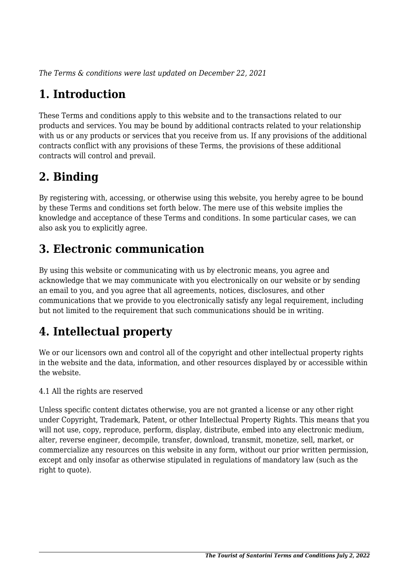*The Terms & conditions were last updated on December 22, 2021*

# **1. Introduction**

These Terms and conditions apply to this website and to the transactions related to our products and services. You may be bound by additional contracts related to your relationship with us or any products or services that you receive from us. If any provisions of the additional contracts conflict with any provisions of these Terms, the provisions of these additional contracts will control and prevail.

## **2. Binding**

By registering with, accessing, or otherwise using this website, you hereby agree to be bound by these Terms and conditions set forth below. The mere use of this website implies the knowledge and acceptance of these Terms and conditions. In some particular cases, we can also ask you to explicitly agree.

# **3. Electronic communication**

By using this website or communicating with us by electronic means, you agree and acknowledge that we may communicate with you electronically on our website or by sending an email to you, and you agree that all agreements, notices, disclosures, and other communications that we provide to you electronically satisfy any legal requirement, including but not limited to the requirement that such communications should be in writing.

# **4. Intellectual property**

We or our licensors own and control all of the copyright and other intellectual property rights in the website and the data, information, and other resources displayed by or accessible within the website.

4.1 All the rights are reserved

Unless specific content dictates otherwise, you are not granted a license or any other right under Copyright, Trademark, Patent, or other Intellectual Property Rights. This means that you will not use, copy, reproduce, perform, display, distribute, embed into any electronic medium, alter, reverse engineer, decompile, transfer, download, transmit, monetize, sell, market, or commercialize any resources on this website in any form, without our prior written permission, except and only insofar as otherwise stipulated in regulations of mandatory law (such as the right to quote).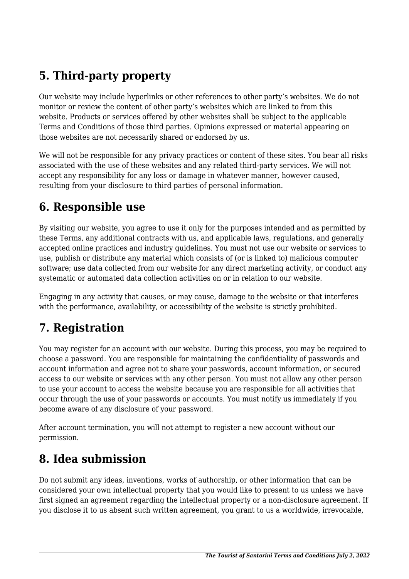# **5. Third-party property**

Our website may include hyperlinks or other references to other party's websites. We do not monitor or review the content of other party's websites which are linked to from this website. Products or services offered by other websites shall be subject to the applicable Terms and Conditions of those third parties. Opinions expressed or material appearing on those websites are not necessarily shared or endorsed by us.

We will not be responsible for any privacy practices or content of these sites. You bear all risks associated with the use of these websites and any related third-party services. We will not accept any responsibility for any loss or damage in whatever manner, however caused, resulting from your disclosure to third parties of personal information.

#### **6. Responsible use**

By visiting our website, you agree to use it only for the purposes intended and as permitted by these Terms, any additional contracts with us, and applicable laws, regulations, and generally accepted online practices and industry guidelines. You must not use our website or services to use, publish or distribute any material which consists of (or is linked to) malicious computer software; use data collected from our website for any direct marketing activity, or conduct any systematic or automated data collection activities on or in relation to our website.

Engaging in any activity that causes, or may cause, damage to the website or that interferes with the performance, availability, or accessibility of the website is strictly prohibited.

## **7. Registration**

You may register for an account with our website. During this process, you may be required to choose a password. You are responsible for maintaining the confidentiality of passwords and account information and agree not to share your passwords, account information, or secured access to our website or services with any other person. You must not allow any other person to use your account to access the website because you are responsible for all activities that occur through the use of your passwords or accounts. You must notify us immediately if you become aware of any disclosure of your password.

After account termination, you will not attempt to register a new account without our permission.

#### **8. Idea submission**

Do not submit any ideas, inventions, works of authorship, or other information that can be considered your own intellectual property that you would like to present to us unless we have first signed an agreement regarding the intellectual property or a non-disclosure agreement. If you disclose it to us absent such written agreement, you grant to us a worldwide, irrevocable,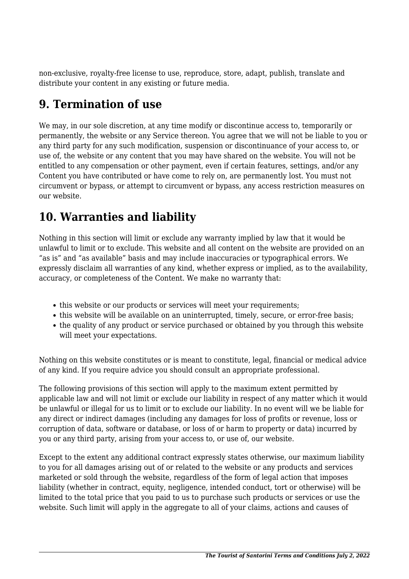non-exclusive, royalty-free license to use, reproduce, store, adapt, publish, translate and distribute your content in any existing or future media.

#### **9. Termination of use**

We may, in our sole discretion, at any time modify or discontinue access to, temporarily or permanently, the website or any Service thereon. You agree that we will not be liable to you or any third party for any such modification, suspension or discontinuance of your access to, or use of, the website or any content that you may have shared on the website. You will not be entitled to any compensation or other payment, even if certain features, settings, and/or any Content you have contributed or have come to rely on, are permanently lost. You must not circumvent or bypass, or attempt to circumvent or bypass, any access restriction measures on our website.

# **10. Warranties and liability**

Nothing in this section will limit or exclude any warranty implied by law that it would be unlawful to limit or to exclude. This website and all content on the website are provided on an "as is" and "as available" basis and may include inaccuracies or typographical errors. We expressly disclaim all warranties of any kind, whether express or implied, as to the availability, accuracy, or completeness of the Content. We make no warranty that:

- this website or our products or services will meet your requirements;
- this website will be available on an uninterrupted, timely, secure, or error-free basis;
- the quality of any product or service purchased or obtained by you through this website will meet your expectations.

Nothing on this website constitutes or is meant to constitute, legal, financial or medical advice of any kind. If you require advice you should consult an appropriate professional.

The following provisions of this section will apply to the maximum extent permitted by applicable law and will not limit or exclude our liability in respect of any matter which it would be unlawful or illegal for us to limit or to exclude our liability. In no event will we be liable for any direct or indirect damages (including any damages for loss of profits or revenue, loss or corruption of data, software or database, or loss of or harm to property or data) incurred by you or any third party, arising from your access to, or use of, our website.

Except to the extent any additional contract expressly states otherwise, our maximum liability to you for all damages arising out of or related to the website or any products and services marketed or sold through the website, regardless of the form of legal action that imposes liability (whether in contract, equity, negligence, intended conduct, tort or otherwise) will be limited to the total price that you paid to us to purchase such products or services or use the website. Such limit will apply in the aggregate to all of your claims, actions and causes of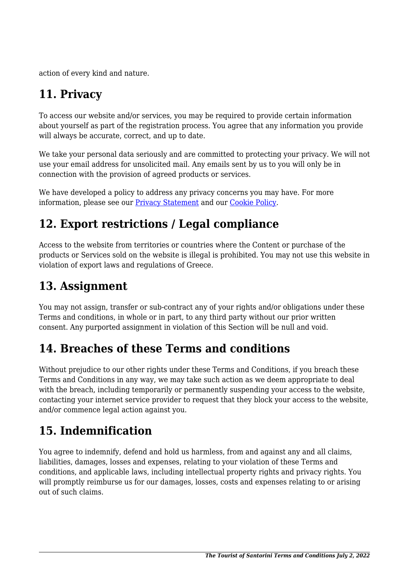action of every kind and nature.

# **11. Privacy**

To access our website and/or services, you may be required to provide certain information about yourself as part of the registration process. You agree that any information you provide will always be accurate, correct, and up to date.

We take your personal data seriously and are committed to protecting your privacy. We will not use your email address for unsolicited mail. Any emails sent by us to you will only be in connection with the provision of agreed products or services.

We have developed a policy to address any privacy concerns you may have. For more information, please see our **Privacy Statement** and our **[Cookie Policy](https://thetouristofsantorini.com/cookie-policy/)**.

## **12. Export restrictions / Legal compliance**

Access to the website from territories or countries where the Content or purchase of the products or Services sold on the website is illegal is prohibited. You may not use this website in violation of export laws and regulations of Greece.

## **13. Assignment**

You may not assign, transfer or sub-contract any of your rights and/or obligations under these Terms and conditions, in whole or in part, to any third party without our prior written consent. Any purported assignment in violation of this Section will be null and void.

#### **14. Breaches of these Terms and conditions**

Without prejudice to our other rights under these Terms and Conditions, if you breach these Terms and Conditions in any way, we may take such action as we deem appropriate to deal with the breach, including temporarily or permanently suspending your access to the website, contacting your internet service provider to request that they block your access to the website, and/or commence legal action against you.

# **15. Indemnification**

You agree to indemnify, defend and hold us harmless, from and against any and all claims, liabilities, damages, losses and expenses, relating to your violation of these Terms and conditions, and applicable laws, including intellectual property rights and privacy rights. You will promptly reimburse us for our damages, losses, costs and expenses relating to or arising out of such claims.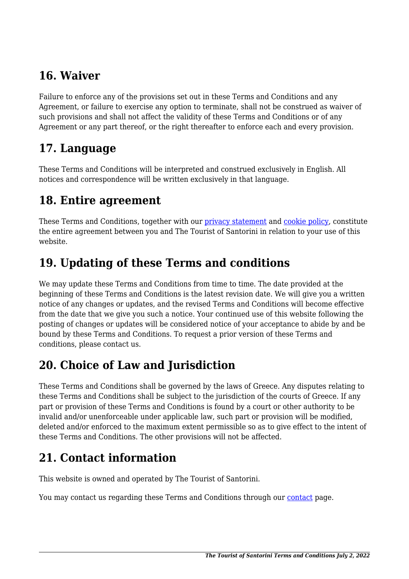#### **16. Waiver**

Failure to enforce any of the provisions set out in these Terms and Conditions and any Agreement, or failure to exercise any option to terminate, shall not be construed as waiver of such provisions and shall not affect the validity of these Terms and Conditions or of any Agreement or any part thereof, or the right thereafter to enforce each and every provision.

#### **17. Language**

These Terms and Conditions will be interpreted and construed exclusively in English. All notices and correspondence will be written exclusively in that language.

#### **18. Entire agreement**

These Terms and Conditions, together with our privacy statement and [cookie policy,](https://thetouristofsantorini.com/cookie-policy/) constitute the entire agreement between you and The Tourist of Santorini in relation to your use of this website.

## **19. Updating of these Terms and conditions**

We may update these Terms and Conditions from time to time. The date provided at the beginning of these Terms and Conditions is the latest revision date. We will give you a written notice of any changes or updates, and the revised Terms and Conditions will become effective from the date that we give you such a notice. Your continued use of this website following the posting of changes or updates will be considered notice of your acceptance to abide by and be bound by these Terms and Conditions. To request a prior version of these Terms and conditions, please contact us.

## **20. Choice of Law and Jurisdiction**

These Terms and Conditions shall be governed by the laws of Greece. Any disputes relating to these Terms and Conditions shall be subject to the jurisdiction of the courts of Greece. If any part or provision of these Terms and Conditions is found by a court or other authority to be invalid and/or unenforceable under applicable law, such part or provision will be modified, deleted and/or enforced to the maximum extent permissible so as to give effect to the intent of these Terms and Conditions. The other provisions will not be affected.

## **21. Contact information**

This website is owned and operated by The Tourist of Santorini.

You may contact us regarding these Terms and Conditions through our [contact](https://thetouristofsantorini.com/contact/) page.